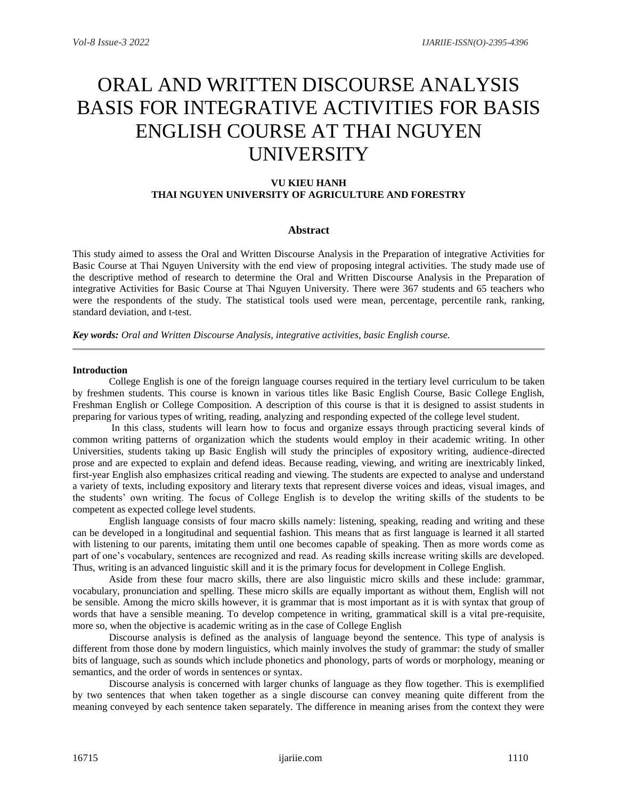# ORAL AND WRITTEN DISCOURSE ANALYSIS BASIS FOR INTEGRATIVE ACTIVITIES FOR BASIS ENGLISH COURSE AT THAI NGUYEN UNIVERSITY

# **VU KIEU HANH THAI NGUYEN UNIVERSITY OF AGRICULTURE AND FORESTRY**

## **Abstract**

This study aimed to assess the Oral and Written Discourse Analysis in the Preparation of integrative Activities for Basic Course at Thai Nguyen University with the end view of proposing integral activities. The study made use of the descriptive method of research to determine the Oral and Written Discourse Analysis in the Preparation of integrative Activities for Basic Course at Thai Nguyen University. There were 367 students and 65 teachers who were the respondents of the study. The statistical tools used were mean, percentage, percentile rank, ranking, standard deviation, and t-test.

*Key words: Oral and Written Discourse Analysis, integrative activities, basic English course.*

#### **Introduction**

College English is one of the foreign language courses required in the tertiary level curriculum to be taken by freshmen students. This course is known in various titles like Basic English Course, Basic College English, Freshman English or College Composition. A description of this course is that it is designed to assist students in preparing for various types of writing, reading, analyzing and responding expected of the college level student.

In this class, students will learn how to focus and organize essays through practicing several kinds of common writing patterns of organization which the students would employ in their academic writing. In other Universities, students taking up Basic English will study the principles of expository writing, audience-directed prose and are expected to explain and defend ideas. Because reading, viewing, and writing are inextricably linked, first-year English also emphasizes critical reading and viewing. The students are expected to analyse and understand a variety of texts, including expository and literary texts that represent diverse voices and ideas, visual images, and the students' own writing. The focus of College English is to develop the writing skills of the students to be competent as expected college level students.

English language consists of four macro skills namely: listening, speaking, reading and writing and these can be developed in a longitudinal and sequential fashion. This means that as first language is learned it all started with listening to our parents, imitating them until one becomes capable of speaking. Then as more words come as part of one's vocabulary, sentences are recognized and read. As reading skills increase writing skills are developed. Thus, writing is an advanced linguistic skill and it is the primary focus for development in College English.

Aside from these four macro skills, there are also linguistic micro skills and these include: grammar, vocabulary, pronunciation and spelling. These micro skills are equally important as without them, English will not be sensible. Among the micro skills however, it is grammar that is most important as it is with syntax that group of words that have a sensible meaning. To develop competence in writing, grammatical skill is a vital pre-requisite, more so, when the objective is academic writing as in the case of College English

Discourse analysis is defined as the analysis of language beyond the sentence. This type of analysis is different from those done by modern linguistics, which mainly involves the study of grammar: the study of smaller bits of language, such as sounds which include phonetics and phonology, parts of words or morphology, meaning or semantics, and the order of words in sentences or syntax.

Discourse analysis is concerned with larger chunks of language as they flow together. This is exemplified by two sentences that when taken together as a single discourse can convey meaning quite different from the meaning conveyed by each sentence taken separately. The difference in meaning arises from the context they were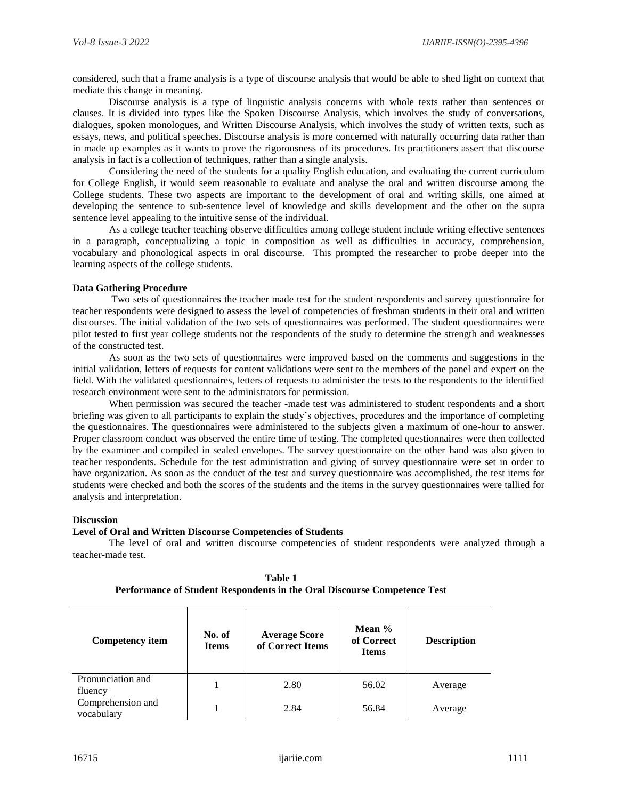considered, such that a frame analysis is a type of discourse analysis that would be able to shed light on context that mediate this change in meaning.

Discourse analysis is a type of linguistic analysis concerns with whole texts rather than sentences or clauses. It is divided into types like the Spoken Discourse Analysis, which involves the study of conversations, dialogues, spoken monologues, and Written Discourse Analysis, which involves the study of written texts, such as essays, news, and political speeches. Discourse analysis is more concerned with naturally occurring data rather than in made up examples as it wants to prove the rigorousness of its procedures. Its practitioners assert that discourse analysis in fact is a collection of techniques, rather than a single analysis.

Considering the need of the students for a quality English education, and evaluating the current curriculum for College English, it would seem reasonable to evaluate and analyse the oral and written discourse among the College students. These two aspects are important to the development of oral and writing skills, one aimed at developing the sentence to sub-sentence level of knowledge and skills development and the other on the supra sentence level appealing to the intuitive sense of the individual.

As a college teacher teaching observe difficulties among college student include writing effective sentences in a paragraph, conceptualizing a topic in composition as well as difficulties in accuracy, comprehension, vocabulary and phonological aspects in oral discourse. This prompted the researcher to probe deeper into the learning aspects of the college students.

## **Data Gathering Procedure**

Two sets of questionnaires the teacher made test for the student respondents and survey questionnaire for teacher respondents were designed to assess the level of competencies of freshman students in their oral and written discourses. The initial validation of the two sets of questionnaires was performed. The student questionnaires were pilot tested to first year college students not the respondents of the study to determine the strength and weaknesses of the constructed test.

As soon as the two sets of questionnaires were improved based on the comments and suggestions in the initial validation, letters of requests for content validations were sent to the members of the panel and expert on the field. With the validated questionnaires, letters of requests to administer the tests to the respondents to the identified research environment were sent to the administrators for permission.

When permission was secured the teacher -made test was administered to student respondents and a short briefing was given to all participants to explain the study's objectives, procedures and the importance of completing the questionnaires. The questionnaires were administered to the subjects given a maximum of one-hour to answer. Proper classroom conduct was observed the entire time of testing. The completed questionnaires were then collected by the examiner and compiled in sealed envelopes. The survey questionnaire on the other hand was also given to teacher respondents. Schedule for the test administration and giving of survey questionnaire were set in order to have organization. As soon as the conduct of the test and survey questionnaire was accomplished, the test items for students were checked and both the scores of the students and the items in the survey questionnaires were tallied for analysis and interpretation.

## **Discussion**

## **Level of Oral and Written Discourse Competencies of Students**

The level of oral and written discourse competencies of student respondents were analyzed through a teacher-made test.

| <b>Competency item</b>          | No. of<br><b>Items</b> | <b>Average Score</b><br>of Correct Items | Mean $%$<br>of Correct<br><b>Items</b> | <b>Description</b> |
|---------------------------------|------------------------|------------------------------------------|----------------------------------------|--------------------|
| Pronunciation and<br>fluency    |                        | 2.80                                     | 56.02                                  | Average            |
| Comprehension and<br>vocabulary |                        | 2.84                                     | 56.84                                  | Average            |

**Table 1 Performance of Student Respondents in the Oral Discourse Competence Test**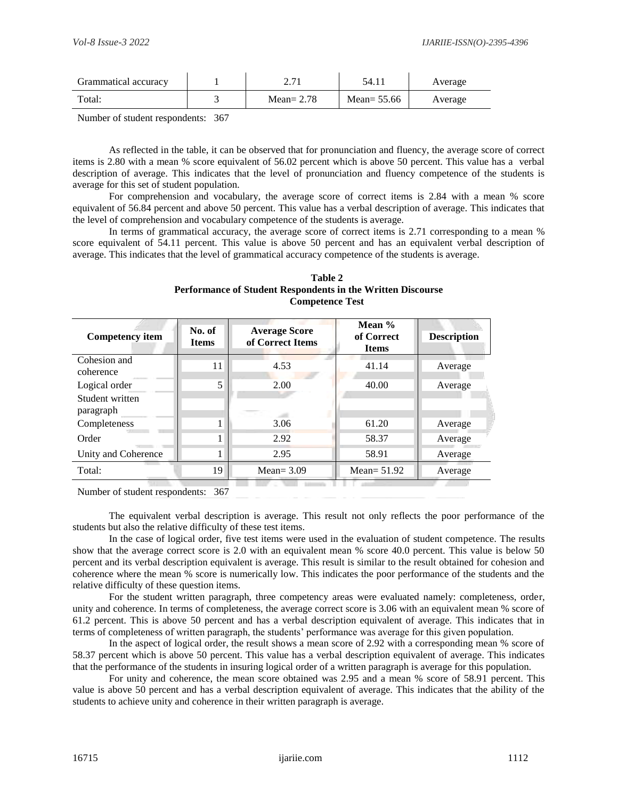| Grammatical accuracy | $\sim$ $\cdot$ $\cdot$ $\cdot$ | 54.11         | Average |
|----------------------|--------------------------------|---------------|---------|
| Total:               | Mean= $2.78$                   | Mean= $55.66$ | Average |

Number of student respondents: 367

As reflected in the table, it can be observed that for pronunciation and fluency, the average score of correct items is 2.80 with a mean % score equivalent of 56.02 percent which is above 50 percent. This value has a verbal description of average. This indicates that the level of pronunciation and fluency competence of the students is average for this set of student population.

For comprehension and vocabulary, the average score of correct items is 2.84 with a mean % score equivalent of 56.84 percent and above 50 percent. This value has a verbal description of average. This indicates that the level of comprehension and vocabulary competence of the students is average.

In terms of grammatical accuracy, the average score of correct items is 2.71 corresponding to a mean % score equivalent of 54.11 percent. This value is above 50 percent and has an equivalent verbal description of average. This indicates that the level of grammatical accuracy competence of the students is average.

| Table 2                                                            |
|--------------------------------------------------------------------|
| <b>Performance of Student Respondents in the Written Discourse</b> |
| <b>Competence Test</b>                                             |

| <b>Competency item</b>       | No. of<br><b>Items</b> | <b>Average Score</b><br>of Correct Items | Mean %<br>of Correct<br><b>Items</b> | <b>Description</b> |
|------------------------------|------------------------|------------------------------------------|--------------------------------------|--------------------|
| Cohesion and<br>coherence    | 11                     | 4.53                                     | 41.14                                | Average            |
| Logical order                | 5                      | 2.00                                     | 40.00                                | Average            |
| Student written<br>paragraph |                        |                                          |                                      |                    |
| Completeness                 |                        | 3.06                                     | 61.20                                | Average            |
| Order                        |                        | 2.92                                     | 58.37                                | Average            |
| Unity and Coherence          |                        | 2.95                                     | 58.91                                | Average            |
| Total:                       | 19                     | Mean= $3.09$                             | Mean= $51.92$                        | Average            |

Number of student respondents: 367

The equivalent verbal description is average. This result not only reflects the poor performance of the students but also the relative difficulty of these test items.

In the case of logical order, five test items were used in the evaluation of student competence. The results show that the average correct score is 2.0 with an equivalent mean % score 40.0 percent. This value is below 50 percent and its verbal description equivalent is average. This result is similar to the result obtained for cohesion and coherence where the mean % score is numerically low. This indicates the poor performance of the students and the relative difficulty of these question items.

For the student written paragraph, three competency areas were evaluated namely: completeness, order, unity and coherence. In terms of completeness, the average correct score is 3.06 with an equivalent mean % score of 61.2 percent. This is above 50 percent and has a verbal description equivalent of average. This indicates that in terms of completeness of written paragraph, the students' performance was average for this given population.

In the aspect of logical order, the result shows a mean score of 2.92 with a corresponding mean % score of 58.37 percent which is above 50 percent. This value has a verbal description equivalent of average. This indicates that the performance of the students in insuring logical order of a written paragraph is average for this population.

For unity and coherence, the mean score obtained was 2.95 and a mean % score of 58.91 percent. This value is above 50 percent and has a verbal description equivalent of average. This indicates that the ability of the students to achieve unity and coherence in their written paragraph is average.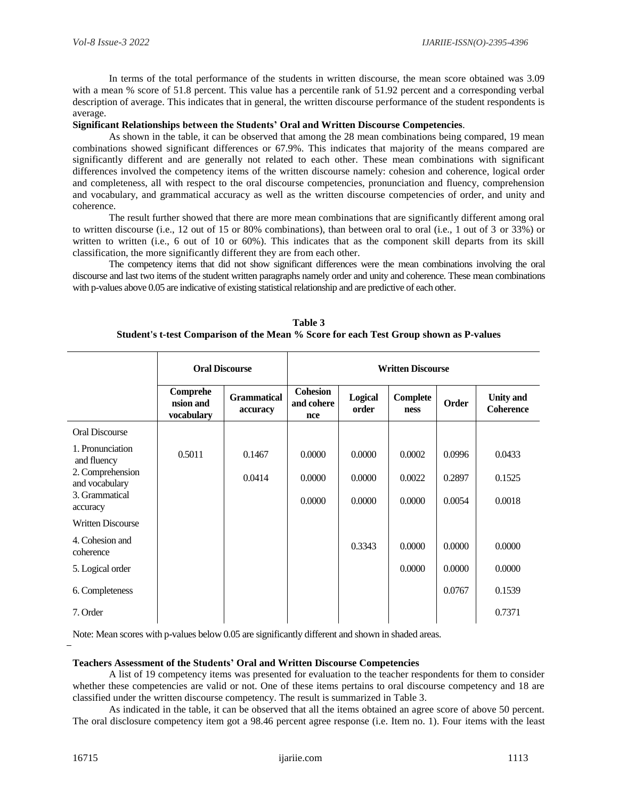In terms of the total performance of the students in written discourse, the mean score obtained was 3.09 with a mean % score of 51.8 percent. This value has a percentile rank of 51.92 percent and a corresponding verbal description of average. This indicates that in general, the written discourse performance of the student respondents is average.

## **Significant Relationships between the Students' Oral and Written Discourse Competencies**.

As shown in the table, it can be observed that among the 28 mean combinations being compared, 19 mean combinations showed significant differences or 67.9%. This indicates that majority of the means compared are significantly different and are generally not related to each other. These mean combinations with significant differences involved the competency items of the written discourse namely: cohesion and coherence, logical order and completeness, all with respect to the oral discourse competencies, pronunciation and fluency, comprehension and vocabulary, and grammatical accuracy as well as the written discourse competencies of order, and unity and coherence.

The result further showed that there are more mean combinations that are significantly different among oral to written discourse (i.e., 12 out of 15 or 80% combinations), than between oral to oral (i.e., 1 out of 3 or 33%) or written to written (i.e., 6 out of 10 or 60%). This indicates that as the component skill departs from its skill classification, the more significantly different they are from each other.

The competency items that did not show significant differences were the mean combinations involving the oral discourse and last two items of the student written paragraphs namely order and unity and coherence. These mean combinations with p-values above 0.05 are indicative of existing statistical relationship and are predictive of each other.

| <b>Oral Discourse</b>               |                                | <b>Written Discourse</b>             |                  |                         |        |                                      |
|-------------------------------------|--------------------------------|--------------------------------------|------------------|-------------------------|--------|--------------------------------------|
| Comprehe<br>nsion and<br>vocabulary | <b>Grammatical</b><br>accuracy | <b>Cohesion</b><br>and cohere<br>nce | Logical<br>order | <b>Complete</b><br>ness | Order  | <b>Unity</b> and<br><b>Coherence</b> |
|                                     |                                |                                      |                  |                         |        |                                      |
| 0.5011                              | 0.1467                         | 0.0000                               | 0.0000           | 0.0002                  | 0.0996 | 0.0433                               |
|                                     | 0.0414                         | 0.0000                               | 0.0000           | 0.0022                  | 0.2897 | 0.1525                               |
|                                     |                                | 0.0000                               | 0.0000           | 0.0000                  | 0.0054 | 0.0018                               |
|                                     |                                |                                      |                  |                         |        |                                      |
|                                     |                                |                                      | 0.3343           | 0.0000                  | 0.0000 | 0.0000                               |
|                                     |                                |                                      |                  | 0.0000                  | 0.0000 | 0.0000                               |
|                                     |                                |                                      |                  |                         | 0.0767 | 0.1539                               |
|                                     |                                |                                      |                  |                         |        | 0.7371                               |
|                                     |                                |                                      |                  |                         |        |                                      |

**Table 3 Student's t-test Comparison of the Mean % Score for each Test Group shown as P-values**

Note: Mean scores with p-values below 0.05 are significantly different and shown in shaded areas.

## **Teachers Assessment of the Students' Oral and Written Discourse Competencies**

A list of 19 competency items was presented for evaluation to the teacher respondents for them to consider whether these competencies are valid or not. One of these items pertains to oral discourse competency and 18 are classified under the written discourse competency. The result is summarized in Table 3.

As indicated in the table, it can be observed that all the items obtained an agree score of above 50 percent. The oral disclosure competency item got a 98.46 percent agree response (i.e. Item no. 1). Four items with the least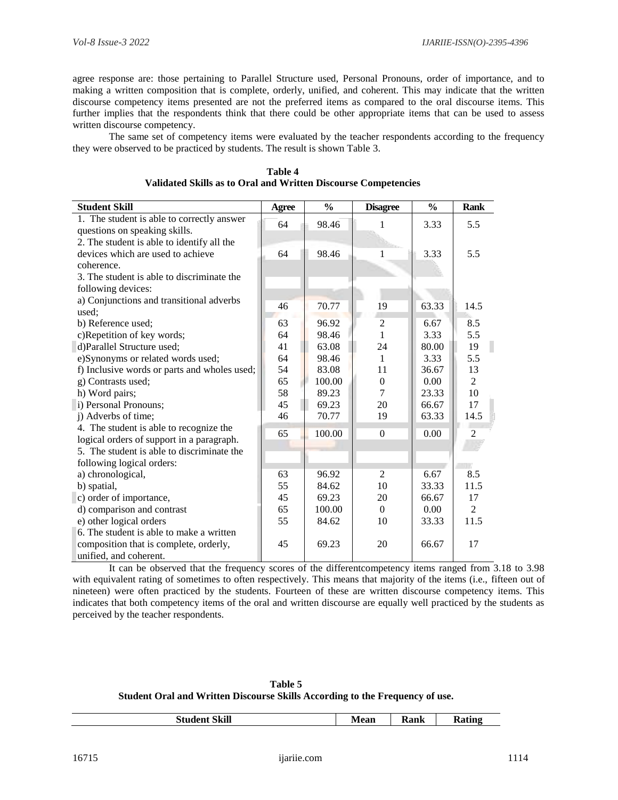agree response are: those pertaining to Parallel Structure used, Personal Pronouns, order of importance, and to making a written composition that is complete, orderly, unified, and coherent. This may indicate that the written discourse competency items presented are not the preferred items as compared to the oral discourse items. This further implies that the respondents think that there could be other appropriate items that can be used to assess written discourse competency.

The same set of competency items were evaluated by the teacher respondents according to the frequency they were observed to be practiced by students. The result is shown Table 3.

| <b>Student Skill</b>                         | Agree | $\frac{0}{0}$ | <b>Disagree</b> | $\frac{0}{0}$ | <b>Rank</b>    |
|----------------------------------------------|-------|---------------|-----------------|---------------|----------------|
| 1. The student is able to correctly answer   | 64    | 98.46         |                 | 3.33          | 5.5            |
| questions on speaking skills.                |       |               |                 |               |                |
| 2. The student is able to identify all the   |       |               |                 |               |                |
| devices which are used to achieve            | 64    | 98.46         | 1               | 3.33          | 5.5            |
| coherence.                                   |       |               |                 |               |                |
| 3. The student is able to discriminate the   |       |               |                 |               |                |
| following devices:                           |       |               |                 |               |                |
| a) Conjunctions and transitional adverbs     | 46    | 70.77         | 19              | 63.33         | 14.5           |
| used;                                        |       |               |                 |               |                |
| b) Reference used;                           | 63    | 96.92         | $\overline{c}$  | 6.67          | 8.5            |
| c)Repetition of key words;                   | 64    | 98.46         | 1               | 3.33          | 5.5            |
| d)Parallel Structure used;                   | 41    | 63.08         | 24              | 80.00         | 19             |
| e)Synonyms or related words used;            | 64    | 98.46         | 1               | 3.33          | 5.5            |
| f) Inclusive words or parts and wholes used; | 54    | 83.08         | 11              | 36.67         | 13             |
| g) Contrasts used;                           | 65    | 100.00        | $\theta$        | 0.00          | $\overline{2}$ |
| h) Word pairs;                               | 58    | 89.23         | 7               | 23.33         | 10             |
| i) Personal Pronouns;                        | 45    | 69.23         | 20              | 66.67         | 17             |
| j) Adverbs of time;                          | 46    | 70.77         | 19              | 63.33         | 14.5           |
| 4. The student is able to recognize the      | 65    | 100.00        | $\Omega$        | 0.00          | $\overline{2}$ |
| logical orders of support in a paragraph.    |       |               |                 |               |                |
| 5. The student is able to discriminate the   |       |               |                 |               |                |
| following logical orders:                    |       |               |                 |               |                |
| a) chronological,                            | 63    | 96.92         | 2               | 6.67          | 8.5            |
| b) spatial,                                  | 55    | 84.62         | 10              | 33.33         | 11.5           |
| c) order of importance,                      | 45    | 69.23         | 20              | 66.67         | 17             |
| d) comparison and contrast                   | 65    | 100.00        | $\Omega$        | 0.00          | $\mathfrak{D}$ |
| e) other logical orders                      | 55    | 84.62         | 10              | 33.33         | 11.5           |
| 6. The student is able to make a written     |       |               |                 |               |                |
| composition that is complete, orderly,       | 45    | 69.23         | 20              | 66.67         | 17             |
| unified, and coherent.                       |       |               |                 |               |                |

**Table 4 Validated Skills as to Oral and Written Discourse Competencies** 

It can be observed that the frequency scores of the differentcompetency items ranged from 3.18 to 3.98 with equivalent rating of sometimes to often respectively. This means that majority of the items (i.e., fifteen out of nineteen) were often practiced by the students. Fourteen of these are written discourse competency items. This indicates that both competency items of the oral and written discourse are equally well practiced by the students as perceived by the teacher respondents.

**Table 5 Student Oral and Written Discourse Skills According to the Frequency of use.**

|  | <b>Skill</b><br>.<br>วเน<br>аен | <b>Mean</b> | 'onlz<br>Nalik | ີ່ "n σ |
|--|---------------------------------|-------------|----------------|---------|
|--|---------------------------------|-------------|----------------|---------|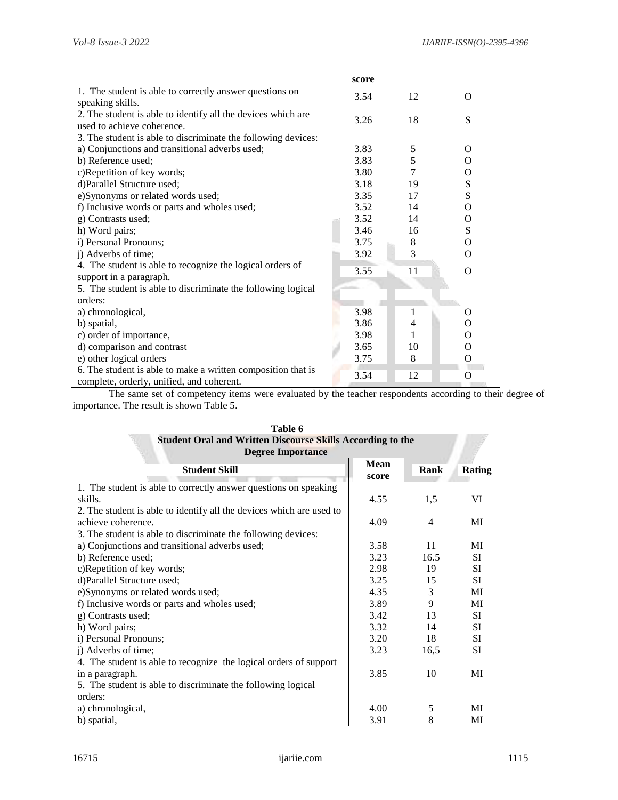|                                                               | score |                |             |
|---------------------------------------------------------------|-------|----------------|-------------|
| 1. The student is able to correctly answer questions on       | 3.54  | 12             | $\Omega$    |
| speaking skills.                                              |       |                |             |
| 2. The student is able to identify all the devices which are  | 3.26  | 18             | S           |
| used to achieve coherence.                                    |       |                |             |
| 3. The student is able to discriminate the following devices: |       |                |             |
| a) Conjunctions and transitional adverbs used;                | 3.83  | 5              | O           |
| b) Reference used;                                            | 3.83  | 5              | $\Omega$    |
| c)Repetition of key words;                                    | 3.80  | $\overline{7}$ | $\Omega$    |
| d)Parallel Structure used;                                    | 3.18  | 19             | S           |
| e)Synonyms or related words used;                             | 3.35  | 17             | S           |
| f) Inclusive words or parts and wholes used;                  | 3.52  | 14             | $\Omega$    |
| g) Contrasts used;                                            | 3.52  | 14             | $\mathbf O$ |
| h) Word pairs;                                                | 3.46  | 16             | S           |
| i) Personal Pronouns;                                         | 3.75  | 8              | $\Omega$    |
| j) Adverbs of time;                                           | 3.92  | 3              | $\Omega$    |
| 4. The student is able to recognize the logical orders of     | 3.55  | 11             | $\Omega$    |
| support in a paragraph.                                       |       |                |             |
| 5. The student is able to discriminate the following logical  |       |                |             |
| orders:                                                       |       |                |             |
| a) chronological,                                             | 3.98  | 1              | O           |
| b) spatial,                                                   | 3.86  | 4              | O           |
| c) order of importance,                                       | 3.98  | 1              | $\Omega$    |
| d) comparison and contrast                                    | 3.65  | 10             | $\Omega$    |
| e) other logical orders                                       | 3.75  | 8              | О           |
| 6. The student is able to make a written composition that is  |       |                |             |
| complete, orderly, unified, and coherent.                     | 3.54  | 12             | O           |

The same set of competency items were evaluated by the teacher respondents according to their degree of importance. The result is shown Table 5.

| <b>Student Oral and Written Discourse Skills According to the</b>    |                      |                |               |
|----------------------------------------------------------------------|----------------------|----------------|---------------|
| <b>Degree Importance</b><br><b>Student Skill</b>                     | <b>Mean</b><br>score | Rank           | <b>Rating</b> |
| 1. The student is able to correctly answer questions on speaking     |                      |                |               |
| skills.                                                              | 4.55                 | 1,5            | VI            |
| 2. The student is able to identify all the devices which are used to |                      |                |               |
| achieve coherence.                                                   | 4.09                 | $\overline{4}$ | MI            |
| 3. The student is able to discriminate the following devices:        |                      |                |               |
| a) Conjunctions and transitional adverbs used;                       | 3.58                 | 11             | MI            |
| b) Reference used;                                                   | 3.23                 | 16.5           | SI            |
| c)Repetition of key words;                                           | 2.98                 | 19             | SI            |
| d)Parallel Structure used;                                           | 3.25                 | 15             | <b>SI</b>     |
| e)Synonyms or related words used;                                    | 4.35                 | $\mathfrak{Z}$ | MI            |
| f) Inclusive words or parts and wholes used;                         | 3.89                 | 9              | MI            |
| g) Contrasts used;                                                   | 3.42                 | 13             | SI            |
| h) Word pairs;                                                       | 3.32                 | 14             | SI            |
| i) Personal Pronouns;                                                | 3.20                 | 18             | SI            |
| j) Adverbs of time;                                                  | 3.23                 | 16,5           | SI            |
| 4. The student is able to recognize the logical orders of support    |                      |                |               |
| in a paragraph.                                                      | 3.85                 | 10             | MI            |
| 5. The student is able to discriminate the following logical         |                      |                |               |
| orders:                                                              |                      |                |               |
| a) chronological,                                                    | 4.00                 | 5              | MI            |
| b) spatial,                                                          | 3.91                 | 8              | MI            |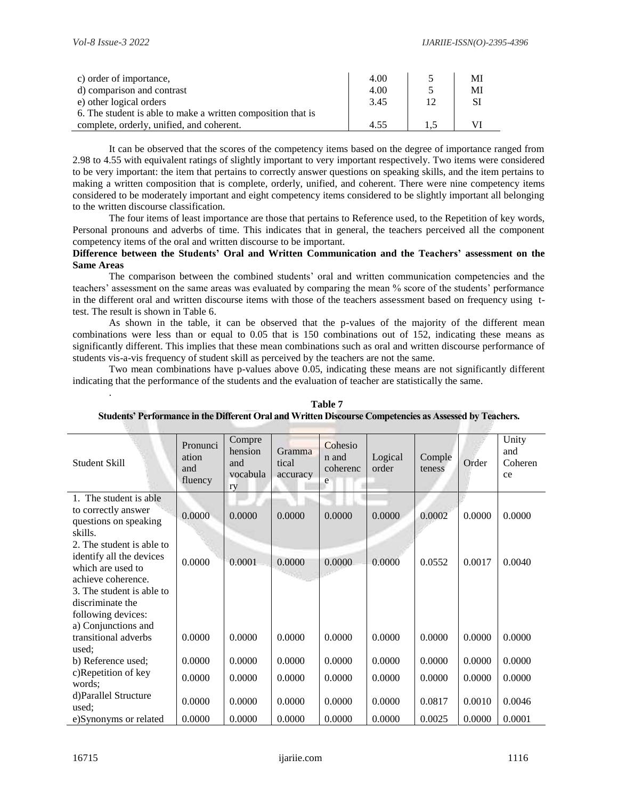.

| c) order of importance,                                      | 4.00 | МI |
|--------------------------------------------------------------|------|----|
| d) comparison and contrast                                   | 4.00 | MI |
| e) other logical orders                                      | 3.45 | SI |
| 6. The student is able to make a written composition that is |      |    |
| complete, orderly, unified, and coherent.                    | 4.55 |    |

It can be observed that the scores of the competency items based on the degree of importance ranged from 2.98 to 4.55 with equivalent ratings of slightly important to very important respectively. Two items were considered to be very important: the item that pertains to correctly answer questions on speaking skills, and the item pertains to making a written composition that is complete, orderly, unified, and coherent. There were nine competency items considered to be moderately important and eight competency items considered to be slightly important all belonging to the written discourse classification.

The four items of least importance are those that pertains to Reference used, to the Repetition of key words, Personal pronouns and adverbs of time. This indicates that in general, the teachers perceived all the component competency items of the oral and written discourse to be important.

## **Difference between the Students' Oral and Written Communication and the Teachers' assessment on the Same Areas**

The comparison between the combined students' oral and written communication competencies and the teachers' assessment on the same areas was evaluated by comparing the mean % score of the students' performance in the different oral and written discourse items with those of the teachers assessment based on frequency using ttest. The result is shown in Table 6.

As shown in the table, it can be observed that the p-values of the majority of the different mean combinations were less than or equal to 0.05 that is 150 combinations out of 152, indicating these means as significantly different. This implies that these mean combinations such as oral and written discourse performance of students vis-a-vis frequency of student skill as perceived by the teachers are not the same.

Two mean combinations have p-values above 0.05, indicating these means are not significantly different indicating that the performance of the students and the evaluation of teacher are statistically the same.

| Student Skill                                                       | Pronunci<br>ation<br>and<br>fluency | Compre<br>hension<br>and<br>vocabula<br>ry | Gramma<br>tical<br>accuracy | Cohesio<br>n and<br>coherenc<br>e | Logical<br>order | Comple<br>teness | Order  | Unity<br>and<br>Coheren<br>ce |
|---------------------------------------------------------------------|-------------------------------------|--------------------------------------------|-----------------------------|-----------------------------------|------------------|------------------|--------|-------------------------------|
| 1. The student is able                                              |                                     |                                            |                             |                                   |                  |                  |        |                               |
| to correctly answer<br>questions on speaking<br>skills.             | 0.0000                              | 0.0000                                     | 0.0000                      | 0.0000                            | 0.0000           | 0.0002           | 0.0000 | 0.0000                        |
| 2. The student is able to                                           |                                     |                                            |                             |                                   |                  |                  |        |                               |
| identify all the devices<br>which are used to<br>achieve coherence. | 0.0000                              | 0.0001                                     | 0.0000                      | 0.0000                            | 0.0000           | 0.0552           | 0.0017 | 0.0040                        |
| 3. The student is able to                                           |                                     |                                            |                             |                                   |                  |                  |        |                               |
| discriminate the                                                    |                                     |                                            |                             |                                   |                  |                  |        |                               |
| following devices:<br>a) Conjunctions and                           |                                     |                                            |                             |                                   |                  |                  |        |                               |
| transitional adverbs<br>used;                                       | 0.0000                              | 0.0000                                     | 0.0000                      | 0.0000                            | 0.0000           | 0.0000           | 0.0000 | 0.0000                        |
| b) Reference used;                                                  | 0.0000                              | 0.0000                                     | 0.0000                      | 0.0000                            | 0.0000           | 0.0000           | 0.0000 | 0.0000                        |
| c)Repetition of key<br>words;                                       | 0.0000                              | 0.0000                                     | 0.0000                      | 0.0000                            | 0.0000           | 0.0000           | 0.0000 | 0.0000                        |
| d)Parallel Structure<br>used:                                       | 0.0000                              | 0.0000                                     | 0.0000                      | 0.0000                            | 0.0000           | 0.0817           | 0.0010 | 0.0046                        |
| e)Synonyms or related                                               | 0.0000                              | 0.0000                                     | 0.0000                      | 0.0000                            | 0.0000           | 0.0025           | 0.0000 | 0.0001                        |

#### **Table 7 Students' Performance in the Different Oral and Written Discourse Competencies as Assessed by Teachers.**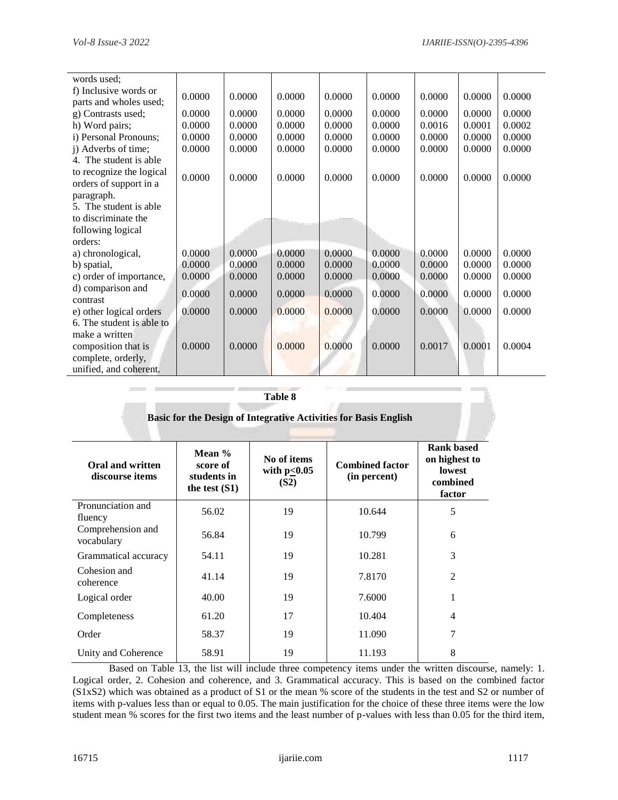| words used;               |        |        |        |        |        |        |        |        |
|---------------------------|--------|--------|--------|--------|--------|--------|--------|--------|
| f) Inclusive words or     | 0.0000 | 0.0000 | 0.0000 | 0.0000 | 0.0000 | 0.0000 | 0.0000 | 0.0000 |
| parts and wholes used;    |        |        |        |        |        |        |        |        |
| g) Contrasts used;        | 0.0000 | 0.0000 | 0.0000 | 0.0000 | 0.0000 | 0.0000 | 0.0000 | 0.0000 |
| h) Word pairs;            | 0.0000 | 0.0000 | 0.0000 | 0.0000 | 0.0000 | 0.0016 | 0.0001 | 0.0002 |
| i) Personal Pronouns;     | 0.0000 | 0.0000 | 0.0000 | 0.0000 | 0.0000 | 0.0000 | 0.0000 | 0.0000 |
| j) Adverbs of time;       | 0.0000 | 0.0000 | 0.0000 | 0.0000 | 0.0000 | 0.0000 | 0.0000 | 0.0000 |
| 4. The student is able    |        |        |        |        |        |        |        |        |
| to recognize the logical  |        |        |        |        |        |        |        |        |
| orders of support in a    | 0.0000 | 0.0000 | 0.0000 | 0.0000 | 0.0000 | 0.0000 | 0.0000 | 0.0000 |
| paragraph.                |        |        |        |        |        |        |        |        |
| 5. The student is able    |        |        |        |        |        |        |        |        |
| to discriminate the       |        |        |        |        |        |        |        |        |
| following logical         |        |        |        |        |        |        |        |        |
| orders:                   |        |        |        |        |        |        |        |        |
| a) chronological,         | 0.0000 | 0.0000 | 0.0000 | 0.0000 | 0.0000 | 0.0000 | 0.0000 | 0.0000 |
| b) spatial,               | 0.0000 | 0.0000 | 0.0000 | 0.0000 | 0.0000 | 0.0000 | 0.0000 | 0.0000 |
| c) order of importance,   | 0.0000 | 0.0000 | 0.0000 | 0.0000 | 0.0000 | 0.0000 | 0.0000 | 0.0000 |
| d) comparison and         |        |        |        |        |        |        |        |        |
| contrast                  | 0.0000 | 0.0000 | 0.0000 | 0.0000 | 0.0000 | 0.0000 | 0.0000 | 0.0000 |
| e) other logical orders   | 0.0000 | 0.0000 | 0.0000 | 0.0000 | 0.0000 | 0.0000 | 0.0000 | 0.0000 |
| 6. The student is able to |        |        |        |        |        |        |        |        |
| make a written            |        |        |        |        |        |        |        |        |
| composition that is       | 0.0000 | 0.0000 | 0.0000 | 0.0000 | 0.0000 | 0.0017 | 0.0001 | 0.0004 |
| complete, orderly,        |        |        |        |        |        |        |        |        |
| unified, and coherent.    |        |        |        |        |        |        |        |        |

| I | ı |
|---|---|
|   |   |

| Basic for the Design of Integrative Activities for Basis English |                                                        |                                          |                                        |                                                                    |  |  |  |  |  |
|------------------------------------------------------------------|--------------------------------------------------------|------------------------------------------|----------------------------------------|--------------------------------------------------------------------|--|--|--|--|--|
| Oral and written<br>discourse items                              | Mean $%$<br>score of<br>students in<br>the test $(S1)$ | No of items<br>with $p \le 0.05$<br>(S2) | <b>Combined factor</b><br>(in percent) | <b>Rank based</b><br>on highest to<br>lowest<br>combined<br>factor |  |  |  |  |  |
| Pronunciation and<br>fluency                                     | 56.02                                                  | 19                                       | 10.644                                 | 5                                                                  |  |  |  |  |  |
| Comprehension and<br>vocabulary                                  | 56.84                                                  | 19                                       | 10.799                                 | 6                                                                  |  |  |  |  |  |
| Grammatical accuracy                                             | 54.11                                                  | 19                                       | 10.281                                 | 3                                                                  |  |  |  |  |  |
| Cohesion and<br>coherence                                        | 41.14                                                  | 19                                       | 7.8170                                 | $\overline{2}$                                                     |  |  |  |  |  |
| Logical order                                                    | 40.00                                                  | 19                                       | 7.6000                                 | 1                                                                  |  |  |  |  |  |
| Completeness                                                     | 61.20                                                  | 17                                       | 10.404                                 | 4                                                                  |  |  |  |  |  |
| Order                                                            | 58.37                                                  | 19                                       | 11.090                                 | 7                                                                  |  |  |  |  |  |
| Unity and Coherence                                              | 58.91                                                  | 19                                       | 11.193                                 | 8                                                                  |  |  |  |  |  |

Based on Table 13, the list will include three competency items under the written discourse, namely: 1. Logical order, 2. Cohesion and coherence, and 3. Grammatical accuracy. This is based on the combined factor (S1xS2) which was obtained as a product of S1 or the mean % score of the students in the test and S2 or number of items with p-values less than or equal to 0.05. The main justification for the choice of these three items were the low student mean % scores for the first two items and the least number of p-values with less than 0.05 for the third item,

÷,